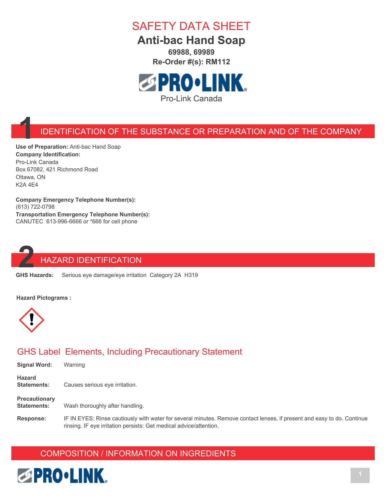

**Anti-bac Hand Soap 69988, 69989**

**Re-Order #(s): RM112**



#### **1** IDENTIFICATION OF THE SUBSTANCE OR PREPARATION AND OF THE COMPANY

**Use of Preparation:** Anti-bac Hand Soap **Company Identification:** Pro-Link Canada Box 67082, 421 Richmond Road Ottawa, ON K2A 4E4

**Company Emergency Telephone Number(s):** (613) 722-0798 **Transportation Emergency Telephone Number(s):** CANUTEC 613-996-6666 or \*666 for cell phone



# **22 HAZARD IDENTIFICATION**<br>**22 GHS Hazards:** Serious eye damage/eye irritation

Serious eye damage/eye irritation Category 2A H319

**Hazard Pictograms :**



#### GHS Label Elements, Including Precautionary Statement

| <b>Signal Word:</b>                        | Warning                         |
|--------------------------------------------|---------------------------------|
| <b>Hazard</b><br><b>Statements:</b>        | Causes serious eye irritation.  |
| <b>Precautionary</b><br><b>Statements:</b> | Wash thoroughly after handling. |
| <u>Desiremen</u>                           | IF IN FVFO, Dissa saulisusluud  |

**Response:** IF IN EYES: Rinse cautiously with water for several minutes. Remove contact lenses, if present and easy to do. Continue rinsing. IF eye irritation persists: Get medical advice/attention.

#### COMPOSITION / INFORMATION ON INGREDIENTS

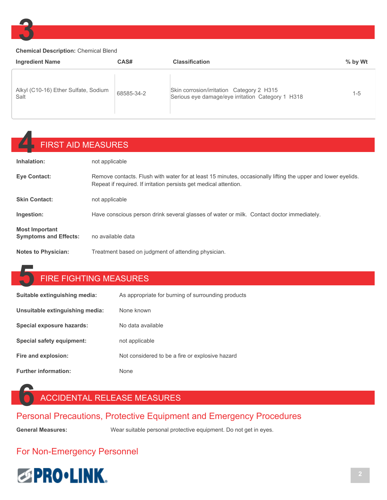

#### **Chemical Description:** Chemical Blend

| <b>Ingredient Name</b>                       | CAS#       | <b>Classification</b>                                                                          | $%$ by Wt |
|----------------------------------------------|------------|------------------------------------------------------------------------------------------------|-----------|
| Alkyl (C10-16) Ether Sulfate, Sodium<br>Salt | 68585-34-2 | Skin corrosion/irritation Category 2 H315<br>Serious eye damage/eye irritation Category 1 H318 | $1 - 5$   |

## **4** FIRST AID MEASURES

| Inhalation:                                           | not applicable                                                                                                                                                                    |
|-------------------------------------------------------|-----------------------------------------------------------------------------------------------------------------------------------------------------------------------------------|
| Eye Contact:                                          | Remove contacts. Flush with water for at least 15 minutes, occasionally lifting the upper and lower eyelids.<br>Repeat if required. If irritation persists get medical attention. |
| <b>Skin Contact:</b>                                  | not applicable                                                                                                                                                                    |
| Ingestion:                                            | Have conscious person drink several glasses of water or milk. Contact doctor immediately.                                                                                         |
| <b>Most Important</b><br><b>Symptoms and Effects:</b> | no available data                                                                                                                                                                 |
| <b>Notes to Physician:</b>                            | Treatment based on judgment of attending physician.                                                                                                                               |

#### **5** FIRE FIGHTING MEASURES

| Suitable extinguishing media:   | As appropriate for burning of surrounding products |
|---------------------------------|----------------------------------------------------|
| Unsuitable extinguishing media: | None known                                         |
| Special exposure hazards:       | No data available                                  |
| Special safety equipment:       | not applicable                                     |
| Fire and explosion:             | Not considered to be a fire or explosive hazard    |
| <b>Further information:</b>     | <b>None</b>                                        |

## **6** ACCIDENTAL RELEASE MEASURES

#### Personal Precautions, Protective Equipment and Emergency Procedures

**General Measures:** Wear suitable personal protective equipment. Do not get in eyes.

#### For Non-Emergency Personnel

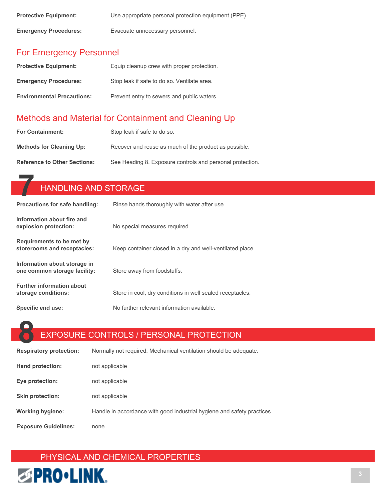| <b>Protective Equipment:</b> | Use appropriate personal protection equipment (PPE). |
|------------------------------|------------------------------------------------------|
| <b>Emergency Procedures:</b> | Evacuate unnecessary personnel.                      |

#### For Emergency Personnel

| <b>Protective Equipment:</b>      | Equip cleanup crew with proper protection.  |
|-----------------------------------|---------------------------------------------|
| <b>Emergency Procedures:</b>      | Stop leak if safe to do so. Ventilate area. |
| <b>Environmental Precautions:</b> | Prevent entry to sewers and public waters.  |

#### Methods and Material for Containment and Cleaning Up

| <b>For Containment:</b>             | Stop leak if safe to do so.                               |
|-------------------------------------|-----------------------------------------------------------|
| <b>Methods for Cleaning Up:</b>     | Recover and reuse as much of the product as possible.     |
| <b>Reference to Other Sections:</b> | See Heading 8. Exposure controls and personal protection. |

|                                                              | <b>HANDLING AND STORAGE</b>                               |  |  |
|--------------------------------------------------------------|-----------------------------------------------------------|--|--|
| <b>Precautions for safe handling:</b>                        | Rinse hands thoroughly with water after use.              |  |  |
| Information about fire and<br>explosion protection:          | No special measures required.                             |  |  |
| Requirements to be met by<br>storerooms and receptacles:     | Keep container closed in a dry and well-ventilated place. |  |  |
| Information about storage in<br>one common storage facility: | Store away from foodstuffs.                               |  |  |
| <b>Further information about</b><br>storage conditions:      | Store in cool, dry conditions in well sealed receptacles. |  |  |
| Specific end use:                                            | No further relevant information available.                |  |  |

EXPOSURE CONTROLS / PERSONAL PROTECTION

| <b>Respiratory protection:</b> | Normally not required. Mechanical ventilation should be adequate.       |
|--------------------------------|-------------------------------------------------------------------------|
| Hand protection:               | not applicable                                                          |
| Eye protection:                | not applicable                                                          |
| <b>Skin protection:</b>        | not applicable                                                          |
| <b>Working hygiene:</b>        | Handle in accordance with good industrial hygiene and safety practices. |
| <b>Exposure Guidelines:</b>    | none                                                                    |

### PHYSICAL AND CHEMICAL PROPERTIES

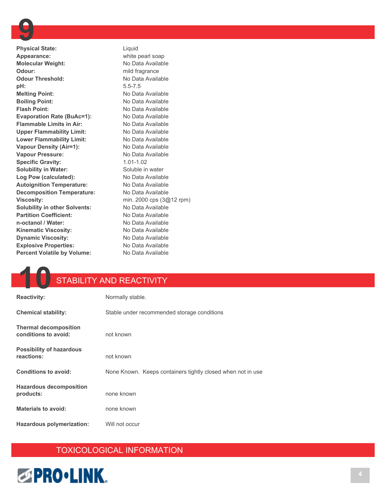**Physical State:** Liquid **Appearance:** white pearl soap **Molecular Weight:** No Data Available **Odour:** mild fragrance **Odour Threshold:** No Data Available **pH:** 5.5-7.5 **Melting Point:** No Data Available **Boiling Point:** No Data Available **Flash Point:** No Data Available **Evaporation Rate (BuAc=1):** No Data Available **Flammable Limits in Air:** No Data Available Upper Flammability Limit: No Data Available Lower Flammability Limit: No Data Available **Vapour Density (Air=1):** No Data Available Vapour Pressure: No Data Available **Specific Gravity:** 1.01-1.02 **Solubility in Water:** Soluble in water Log Pow (calculated): No Data Available **Autoignition Temperature:** No Data Available **Decomposition Temperature:** No Data Available **Viscosity:** min. 2000 cps (3@12 rpm) **Solubility in other Solvents:** No Data Available **Partition Coefficient:** No Data Available **n-octanol / Water:** No Data Available Kinematic Viscosity: No Data Available **Dynamic Viscosity:** No Data Available **Explosive Properties:** No Data Available **Percent Volatile by Volume:** No Data Available

### **10** STABILITY AND REACTIVITY

| <b>Reactivity:</b>                                   | Normally stable.                                            |
|------------------------------------------------------|-------------------------------------------------------------|
| <b>Chemical stability:</b>                           | Stable under recommended storage conditions                 |
| <b>Thermal decomposition</b><br>conditions to avoid: | not known                                                   |
| <b>Possibility of hazardous</b><br>reactions:        | not known                                                   |
| <b>Conditions to avoid:</b>                          | None Known. Keeps containers tightly closed when not in use |
| <b>Hazardous decomposition</b><br>products:          | none known                                                  |
| <b>Materials to avoid:</b>                           | none known                                                  |
| Hazardous polymerization:                            | Will not occur                                              |

#### TOXICOLOGICAL INFORMATION

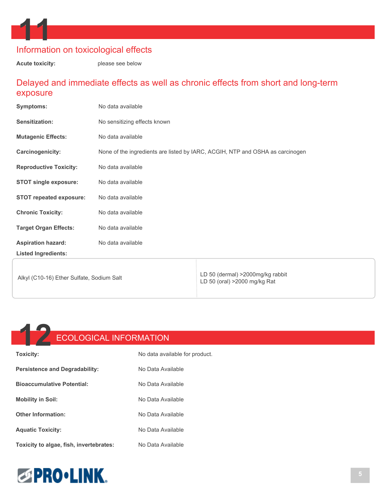

**Acute toxicity:** please see below

#### Delayed and immediate effects as well as chronic effects from short and long-term exposure

| <b>Symptoms:</b>                          | No data available                                                             |                                                                   |
|-------------------------------------------|-------------------------------------------------------------------------------|-------------------------------------------------------------------|
| Sensitization:                            | No sensitizing effects known                                                  |                                                                   |
| <b>Mutagenic Effects:</b>                 | No data available                                                             |                                                                   |
| <b>Carcinogenicity:</b>                   | None of the ingredients are listed by IARC, ACGIH, NTP and OSHA as carcinogen |                                                                   |
| <b>Reproductive Toxicity:</b>             | No data available                                                             |                                                                   |
| <b>STOT single exposure:</b>              | No data available                                                             |                                                                   |
| <b>STOT repeated exposure:</b>            | No data available                                                             |                                                                   |
| <b>Chronic Toxicity:</b>                  | No data available                                                             |                                                                   |
| <b>Target Organ Effects:</b>              | No data available                                                             |                                                                   |
| <b>Aspiration hazard:</b>                 | No data available                                                             |                                                                   |
| <b>Listed Ingredients:</b>                |                                                                               |                                                                   |
| Alkyl (C10-16) Ether Sulfate, Sodium Salt |                                                                               | LD 50 (dermal) > 2000mg/kg rabbit<br>LD 50 (oral) >2000 mg/kg Rat |



**Other Information:** No Data Available

Aquatic Toxicity: No Data Available

**Toxicity to algae, fish, invertebrates:** No Data Available

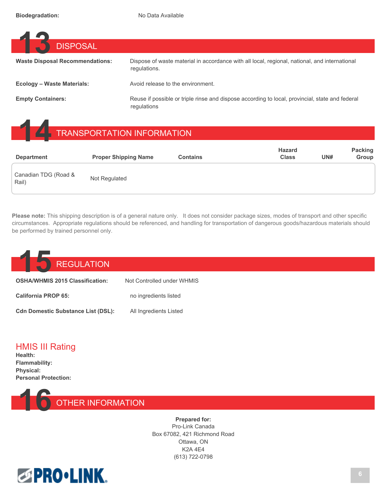| <b>DISPOSAL</b>                        |                                                                                                                |
|----------------------------------------|----------------------------------------------------------------------------------------------------------------|
| <b>Waste Disposal Recommendations:</b> | Dispose of waste material in accordance with all local, regional, national, and international<br>requlations.  |
| Ecology – Waste Materials:             | Avoid release to the environment.                                                                              |
| <b>Empty Containers:</b>               | Reuse if possible or triple rinse and dispose according to local, provincial, state and federal<br>regulations |

## **1 TRANSPORTATION INFORMATION**

| <b>Department</b>             | <b>Proper Shipping Name</b> | <b>Contains</b> | <b>Hazard</b><br><b>Class</b> | UN# | <b>Packing</b><br>Group |
|-------------------------------|-----------------------------|-----------------|-------------------------------|-----|-------------------------|
| Canadian TDG (Road &<br>Rail) | Not Regulated               |                 |                               |     |                         |

**Please note:** This shipping description is of a general nature only. It does not consider package sizes, modes of transport and other specific circumstances. Appropriate regulations should be referenced, and handling for transportation of dangerous goods/hazardous materials should be performed by trained personnel only.

## **15** REGULATION **OSHA/WHMIS 2015 Classification:** Not Controlled under WHMIS **California PROP 65:** no ingredients listed **Cdn Domestic Substance List (DSL):** All Ingredients Listed

#### HMIS III Rating

**Health: Flammability: Physical: Personal Protection:**



**Prepared for:** Pro-Link Canada Box 67082, 421 Richmond Road Ottawa, ON K2A 4E4 (613) 722-0798